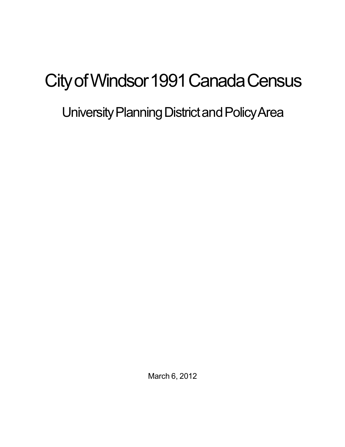# City of Windsor 1991 Canada Census

## University Planning District and Policy Area

March 6, 2012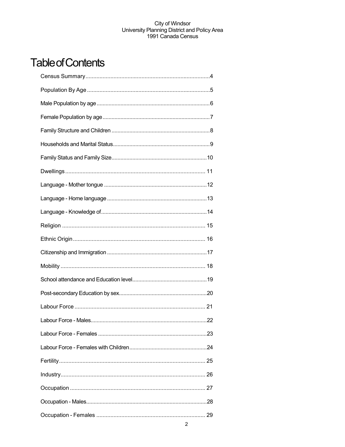## **Table of Contents**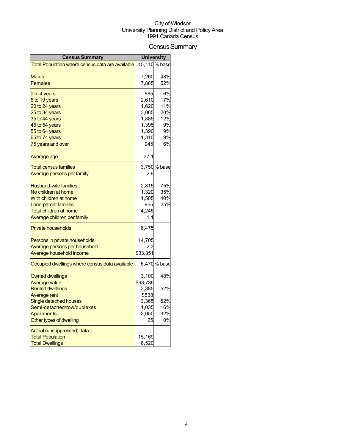## Census Summary

| <b>Census Summary</b>                            |          | <b>University</b> |
|--------------------------------------------------|----------|-------------------|
| Total Population where census data are available |          | 15,110 % base     |
|                                                  |          |                   |
| Males                                            | 7,260    | 48%               |
| <b>Females</b>                                   | 7,865    | 52%               |
| 0 to 4 years                                     | 885      | 6%                |
| 5 to 19 years                                    | 2,610    | 17%               |
| 20 to 24 years                                   | 1,620    | 11%               |
| 25 to 34 years                                   | 3,065    | 20%               |
| 35 to 44 years                                   | 1,885    | 12%               |
| 45 to 54 years                                   | 1,395    | 9%                |
| 55 to 64 years                                   | 1,390    | 9%                |
| 65 to 74 years                                   | 1,310    | 9%                |
| 75 years and over                                | 945      | 6%                |
| Average age                                      | 37.1     |                   |
| Total census families                            |          | 3,750 % base      |
| <u>Average persons per family</u>                | 2.9      |                   |
| <b>Husband-wife families</b>                     | 2,815    | 75%               |
| No children at home                              | 1,320    | 35%               |
| With children at home                            | 1,505    | 40%               |
| Lone-parent families                             | 955      | 25%               |
| Total children at home                           | 4,245    |                   |
| Average children per family                      | 1.1      |                   |
| <b>Private households</b>                        | 6,475    |                   |
| Persons in private households                    | 14,705   |                   |
| Average persons per household                    | 2.3      |                   |
| Average household income                         | \$33,351 |                   |
| Occupied dwellings where census data available   |          | 6,470 % base      |
| <b>Owned dwellings</b>                           | 3,100    | 48%               |
| Average value                                    | \$93,739 |                   |
| <b>Rented dwellings</b>                          | 3,385    | 52%               |
| <b>Average rent</b>                              | \$538    |                   |
| Single detached houses                           | 3,365    | 52%               |
| Semi-detached/row/duplexes                       | 1,035    | 16%               |
| <b>Apartments</b>                                | 2,050    | 32%               |
| Other types of dwelling                          | 25       | 0%                |
| Actual (unsuppressed) data:                      |          |                   |
| <b>Total Population</b>                          | 15,169   |                   |
| <b>Total Dwellings</b>                           | 6,520    |                   |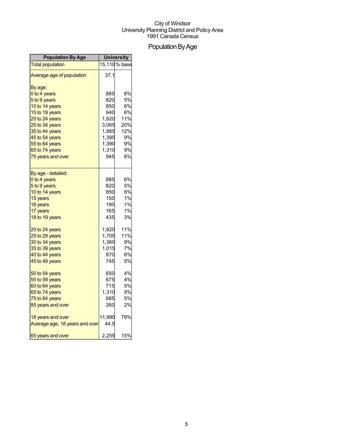## Population By Age

| <b>Population By Age</b>       | <b>University</b> |               |
|--------------------------------|-------------------|---------------|
| <b>Total population</b>        |                   | 15,110 % base |
| Average age of population      | 37.1              |               |
| By age:                        |                   |               |
| 0 to 4 years                   | 885               | 6%            |
| 5 to 9 years                   | 820               | 5%            |
| 10 to 14 years                 | 850               | 6%            |
| 15 to 19 years                 | 940               | 6%            |
| 20 to 24 years                 | 1,620             | 11%           |
| 25 to 34 years                 | 3,065             | 20%           |
| 35 to 44 years                 | 1,885             | 12%           |
| 45 to 54 years                 | 1,395             | 9%            |
| 55 to 64 years                 | 1,390             | 9%            |
| 65 to 74 years                 | 1,310             | 9%            |
| 75 years and over              | 945               | 6%            |
| By age - detailed:             |                   |               |
| 0 to 4 years                   | 885               | 6%            |
| 5 to 9 years                   | 820               | <b>5%</b>     |
| 10 to 14 years                 | 850               | 6%            |
| 15 years                       | 150               | 1%            |
| 16 years                       | 190               | 1%            |
| 17 years                       | 165               | 1%            |
| 18 to 19 years                 | 435               | 3%            |
| 20 to 24 years                 | 1,620             | 11%           |
| 25 to 29 years                 | 1,705             | 11%           |
| 30 to 34 years                 | 1,360             | 9%            |
| 35 to 39 years                 | 1,015             | 7%            |
| 40 to 44 years                 | 870               | 6%            |
| 45 to 49 years                 | 745               | 5%            |
| 50 to 54 years                 | 650               | 4%            |
| 55 to 59 years                 | 675               | 4%            |
| 60 to 64 years                 | 715               | 5%            |
| 65 to 74 years                 | 1,310             | 9%            |
| 75 to 84 years                 | 685               | 5%            |
| 85 years and over              | 260               | 2%            |
| 18 years and over              | 11,990            | 79%           |
| Average age, 18 years and over | 44.5              |               |
| 65 years and over              | 2,255             | 15%           |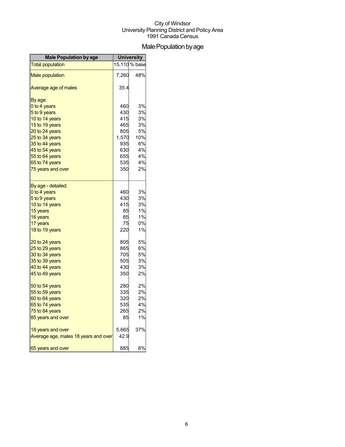## Male Population by age

| <b>Male Population by age</b>        | <b>University</b> |               |
|--------------------------------------|-------------------|---------------|
| <b>Total population</b>              |                   | 15,110 % base |
| <b>Male population</b>               | 7,260             | 48%           |
| Average age of males                 | 35.4              |               |
| By age:                              |                   |               |
| 0 to 4 years                         | 460               | 3%            |
| 5 to 9 years                         | 430               | 3%            |
| 10 to 14 years                       | 415               | 3%            |
| 15 to 19 years                       | 465               | 3%            |
| 20 to 24 years                       | 805               | 5%            |
| 25 to 34 years                       | 1,570             | 10%           |
| 35 to 44 years                       | 935               | 6%            |
| 45 to 54 years                       | 630               | 4%            |
| 55 to 64 years                       | 655               | 4%            |
| 65 to 74 years                       | 535               | 4%            |
| 75 years and over                    | 350               | 2%            |
| By age - detailed:                   |                   |               |
| 0 to 4 years                         | 460               | 3%            |
| 5 to 9 years                         | 430               | 3%            |
| 10 to 14 years                       | 415               | 3%            |
| 15 years                             | 85                | 1%            |
| 16 years                             | 85                | 1%            |
| 17 years                             | 75                | 0%            |
| 18 to 19 years                       | 220               | 1%            |
| 20 to 24 years                       | 805               | 5%            |
| 25 to 29 years                       | 865               | 6%            |
| 30 to 34 years                       | 705               | <b>5%</b>     |
| 35 to 39 years                       | 505               | 3%            |
| 40 to 44 years                       | 430               | 3%            |
| 45 to 49 years                       | 350               | 2%            |
| 50 to 54 years                       | 280               | 2%            |
| 55 to 59 years                       | 335               | 2%            |
| 60 to 64 years                       | 320               | 2%            |
| 65 to 74 years                       | 535               | 4%            |
| 75 to 84 years                       | 265               | 2%            |
| 85 years and over                    | 85                | 1%            |
| 18 years and over                    | 5,665             | 37%           |
| Average age, males 18 years and over | 42.9              |               |
| 65 years and over                    | 885               | 6%            |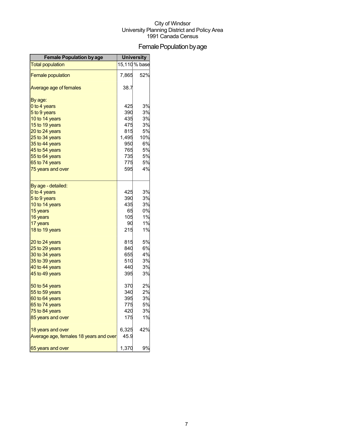## Female Population by age

| <b>Female Population by age</b>        | <b>University</b> |               |
|----------------------------------------|-------------------|---------------|
| <b>Total population</b>                |                   | 15,110 % base |
| <b>Female population</b>               | 7,865             | 52%           |
| Average age of females                 | 38.7              |               |
| By age:                                |                   |               |
| 0 to 4 years                           | 425               | 3%            |
| 5 to 9 years                           | 390               | 3%            |
| 10 to 14 years                         | 435               | 3%            |
| 15 to 19 years                         | 475               | 3%            |
| 20 to 24 years                         | 815               | 5%            |
| 25 to 34 years                         | 1,495             | 10%           |
| 35 to 44 years                         | 950               | 6%            |
| 45 to 54 years                         | 765               | 5%            |
| 55 to 64 years                         | 735               | 5%            |
| 65 to 74 years                         | 775               | 5%            |
| 75 years and over                      | 595               | 4%            |
| By age - detailed:                     |                   |               |
| 0 to 4 years                           | 425               | 3%            |
| 5 to 9 years                           | 390               | 3%            |
| 10 to 14 years                         | 435               | 3%            |
| 15 years                               | 65                | 0%            |
| 16 years                               | 105               | 1%            |
| 17 years                               | 90                | 1%            |
| 18 to 19 years                         | 215               | 1%            |
| 20 to 24 years                         | 815               | 5%            |
| 25 to 29 years                         | 840               | 6%            |
| 30 to 34 years                         | 655               | 4%            |
| 35 to 39 years                         | 510               | 3%            |
| 40 to 44 years                         | 440               | 3%            |
| 45 to 49 years                         | 395               | 3%            |
| 50 to 54 years                         | 370               | 2%            |
| 55 to 59 years                         | 340               | 2%            |
| 60 to 64 years                         | 395               | 3%            |
| 65 to 74 years                         | 775               | 5%            |
| 75 to 84 years                         | 420               | 3%            |
| 85 years and over                      | 175               | 1%            |
| 18 years and over                      | 6,325             | 42%           |
| Average age, females 18 years and over | 45.9              |               |
| 65 years and over                      | 1,370             | 9%            |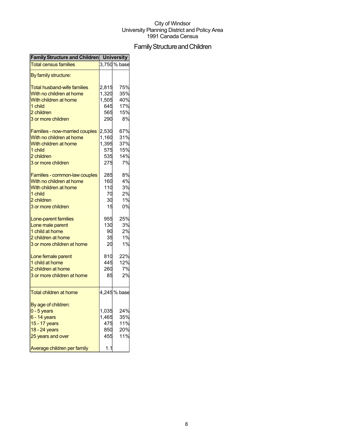## Family Structure and Children

| <b>Family Structure and Children University</b> |       |              |
|-------------------------------------------------|-------|--------------|
| <b>Total census families</b>                    |       | 3,750 % base |
| By family structure:                            |       |              |
| <b>Total husband-wife families</b>              | 2,815 | 75%          |
| With no children at home                        | 1,320 | 35%          |
| With children at home                           | 1,505 | 40%          |
| 1 child                                         | 645   | 17%          |
| 2 children                                      | 565   | 15%          |
| 3 or more children                              | 290   | 8%           |
| Families - now-married couples                  | 2,530 | 67%          |
| With no children at home                        | 1,160 | 31%          |
| With children at home                           | 1,395 | 37%          |
| 1 child                                         | 575   | 15%          |
| 2 children                                      | 535   | 14%          |
|                                                 |       |              |
| 3 or more children                              | 275   | 7%           |
| Families - common-law couples                   | 285   | 8%           |
| With no children at home                        | 160   | 4%           |
| With children at home                           | 110   | 3%           |
| 1 child                                         | 70    | 2%           |
| 2 children                                      | 30    | 1%           |
| 3 or more children                              | 15    | 0%           |
| Lone-parent families                            | 955   | 25%          |
| Lone male parent                                | 130   | 3%           |
| 1 child at home                                 | 90    | 2%           |
| 2 children at home                              | 35    | 1%           |
| 3 or more children at home                      | 20    | 1%           |
| Lone female parent                              | 810   | 22%          |
| 1 child at home                                 | 445   | 12%          |
| 2 children at home                              | 260   | 7%           |
| 3 or more children at home                      | 85    | 2%           |
|                                                 |       |              |
| <b>Total children at home</b>                   |       | 4,245 % base |
| By age of children:                             |       |              |
| $0 - 5$ years                                   | 1,035 | 24%          |
| $6 - 14$ years                                  | 1,465 | 35%          |
| 15 - 17 years                                   | 475   | 11%          |
| 18 - 24 years                                   | 850   | 20%          |
| 25 years and over                               | 455   | 11%          |
| Average children per family                     | 1.1   |              |
|                                                 |       |              |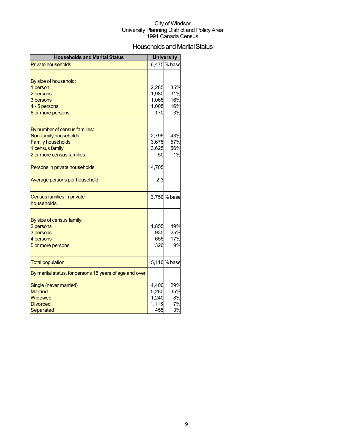## Households and Marital Status

| <b>Households and Marital Status</b>                     |            | <b>University</b> |
|----------------------------------------------------------|------------|-------------------|
| <b>Private households</b>                                |            | 6,475 % base      |
|                                                          |            |                   |
| By size of household:                                    |            |                   |
| 1 person                                                 | 2,285      | 35%               |
| 2 persons                                                | 1,980      | 31%               |
| 3 persons                                                | 1,065      | 16%               |
| 4 - 5 persons                                            | 1,005      | 16%               |
| 6 or more persons                                        | 170        | 3%                |
|                                                          |            |                   |
| By number of census families:                            |            |                   |
| Non-family households                                    | 2,795      | 43%               |
| <b>Family households</b>                                 | 3,675      | 57%               |
| 1 census family                                          | 3,625      | 56%<br>1%         |
| 2 or more census families                                | 50         |                   |
| Persons in private households                            | 14,705     |                   |
| Average persons per household                            | 2.3        |                   |
| Census families in private                               |            | 3,750 % base      |
| households                                               |            |                   |
|                                                          |            |                   |
| By size of census family:                                |            |                   |
| 2 persons                                                | 1,855      | 49%               |
| 3 persons                                                | 935<br>655 | 25%<br>17%        |
| 4 persons                                                | 320        | 9%                |
| 5 or more persons                                        |            |                   |
| <b>Total population</b>                                  |            | 15,110 % base     |
| By marital status, for persons 15 years of age and over: |            |                   |
| Single (never married)                                   | 4,400      | 29%               |
| <b>Married</b>                                           | 5,280      | 35%               |
| Widowed                                                  | 1,240      | 8%                |
| <b>Divorced</b>                                          | 1,115      | 7%                |
| Separated                                                | 455        | 3%                |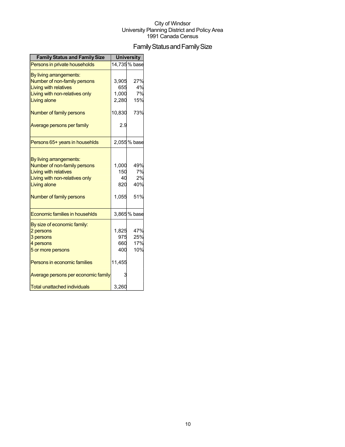## Family Status and Family Size

| <b>Family Status and Family Size</b> |        | <b>University</b> |
|--------------------------------------|--------|-------------------|
| Persons in private households        |        | 14,735 % base     |
| By living arrangements:              |        |                   |
| Number of non-family persons         | 3,905  | 27%               |
| <b>Living with relatives</b>         | 655    | 4%                |
| Living with non-relatives only       | 1,000  | 7%                |
| Living alone                         | 2,280  | 15%               |
| Number of family persons             | 10,830 | 73%               |
| Average persons per family           | 2.9    |                   |
| Persons 65+ years in househlds       |        | 2,055% base       |
|                                      |        |                   |
| By living arrangements:              |        |                   |
| Number of non-family persons         | 1,000  | 49%               |
| <b>Living with relatives</b>         | 150    | 7%                |
| Living with non-relatives only       | 40     | 2%                |
| Living alone                         | 820    | 40%               |
| Number of family persons             | 1,055  | 51%               |
| Economic families in househlds       |        | 3,865 % base      |
| By size of economic family:          |        |                   |
| 2 persons                            | 1,825  | 47%               |
| 3 persons                            | 975    | 25%               |
| 4 persons                            | 660    | 17%               |
| 5 or more persons                    | 400    | 10%               |
| Persons in economic families         | 11,455 |                   |
| Average persons per economic family  | 3      |                   |
| <b>Total unattached individuals</b>  | 3,260  |                   |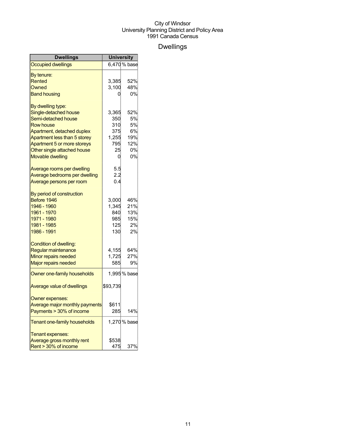## Dwellings

| Dwellings                         | <b>University</b> |              |
|-----------------------------------|-------------------|--------------|
| <b>Occupied dwellings</b>         |                   | 6,470 % base |
| By tenure:                        |                   |              |
| Rented                            | 3,385             | 52%          |
| Owned                             | 3,100             | 48%          |
| <b>Band housing</b>               | 0                 | 0%           |
| By dwelling type:                 |                   |              |
| Single-detached house             | 3,365             | 52%          |
| Semi-detached house               | 350               | 5%           |
| <b>Row house</b>                  | 310               | 5%           |
| Apartment, detached duplex        | 375               | 6%           |
| Apartment less than 5 storey      | 1,255             | 19%          |
| Apartment 5 or more storeys       | 795               | 12%          |
| Other single attached house       | 25                | 0%           |
| <b>Movable dwelling</b>           | 0                 | 0%           |
| Average rooms per dwelling        | 5.5               |              |
| Average bedrooms per dwelling     | 2.2               |              |
| Average persons per room          | 0.4               |              |
| By period of construction         |                   |              |
| Before 1946                       | 3,000             | 46%          |
| 1946 - 1960                       | 1,345             | 21%          |
| 1961 - 1970                       | 840               | 13%          |
| 1971 - 1980                       | 985               | 15%          |
| 1981 - 1985                       | 125               | 2%           |
| 1986 - 1991                       | 130               | 2%           |
| Condition of dwelling:            |                   |              |
| Regular maintenance               | 4,155             | 64%          |
| Minor repairs needed              | 1,725             | 27%          |
| <b>Major repairs needed</b>       | 585               | 9%           |
| Owner one-family households       |                   | 1,995 % base |
| <b>Average value of dwellings</b> | \$93,739          |              |
| Owner expenses:                   |                   |              |
| Average major monthly payments    | \$611             |              |
| Payments > 30% of income          | 285               | 14%          |
| Tenant one-family households      |                   | 1,270 % base |
| Tenant expenses:                  |                   |              |
| Average gross monthly rent        | \$538             |              |
| Rent > 30% of income              | 475               | 37%          |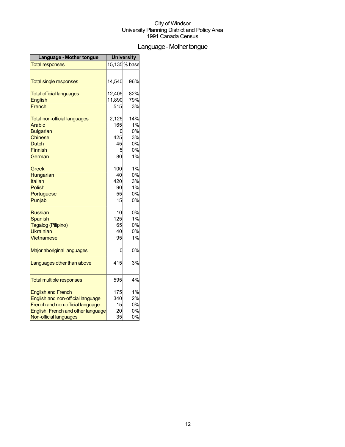## Language-Mothertongue

| Language - Mother tongue            | <b>University</b> |               |
|-------------------------------------|-------------------|---------------|
| <b>Total responses</b>              |                   | 15,135 % base |
|                                     |                   |               |
| <b>Total single responses</b>       | 14,540            | 96%           |
| <b>Total official languages</b>     | 12,405            | 82%           |
| <b>English</b>                      | 11,890            | 79%           |
| French                              | 515               | 3%            |
| <b>Total non-official languages</b> | 2,125             | 14%           |
| <b>Arabic</b>                       | 165               | 1%            |
| <b>Bulgarian</b>                    | 0                 | 0%            |
| <b>Chinese</b>                      | 425               | 3%            |
| Dutch                               | 45                | 0%            |
| <b>Finnish</b>                      | 5                 | 0%            |
| German                              | 80                | 1%            |
| Greek                               | 100               | 1%            |
| Hungarian                           | 40                | 0%            |
| Italian                             | 420               | 3%            |
| Polish                              | 90                | 1%            |
| Portuguese                          | 55                | 0%            |
| Punjabi                             | 15                | 0%            |
| <b>Russian</b>                      | 10                | 0%            |
| <b>Spanish</b>                      | 125               | 1%            |
| Tagalog (Pilipino)                  | 65                | 0%            |
| <b>Ukrainian</b>                    | 40                | 0%            |
| Vietnamese                          | 95                | 1%            |
| Major aboriginal languages          | 0                 | 0%            |
| Languages other than above          | 415               | 3%            |
| <b>Total multiple responses</b>     | 595               | 4%            |
| <b>English and French</b>           | 175               | 1%            |
| English and non-official language   | 340               | 2%            |
| French and non-official language    | 15                | 0%            |
| English, French and other language  | 20                | 0%            |
| Non-official languages              | 35                | 0%            |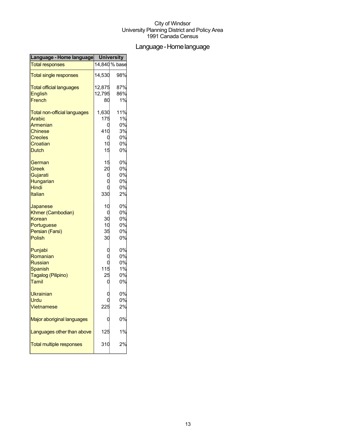## Language-Homelanguage

| Language - Home language            | <b>University</b> |               |
|-------------------------------------|-------------------|---------------|
| <b>Total responses</b>              |                   | 14,840 % base |
| <b>Total single responses</b>       | 14,530            | 98%           |
| <b>Total official languages</b>     | 12,875            | 87%           |
| <b>English</b>                      | 12,795            | 86%           |
| French                              | 80                | 1%            |
| <b>Total non-official languages</b> | 1,630             | 11%           |
| Arabic                              | 175               | 1%            |
| Armenian                            | 0                 | 0%            |
| <b>Chinese</b>                      | 410               | 3%            |
| <b>Creoles</b>                      | 0                 | 0%            |
| Croatian                            | 10                | 0%            |
| <b>Dutch</b>                        | 15                | 0%            |
| German                              | 15                | 0%            |
| Greek                               | 20                | 0%            |
| Gujarati                            | C                 | 0%            |
| Hungarian                           |                   | 0%            |
| <b>Hindi</b>                        |                   | 0%            |
| <b>Italian</b>                      | 330               | 2%            |
| Japanese                            | 10                | 0%            |
| Khmer (Cambodian)                   | 0                 | 0%            |
| Korean                              | 30                | 0%            |
| Portuguese                          | 10                | 0%            |
| Persian (Farsi)                     | 35                | 0%            |
| Polish                              | 30                | 0%            |
| Punjabi                             |                   | 0%            |
| Romanian                            |                   | 0%            |
| <b>Russian</b>                      |                   | 0%            |
| Spanish                             | 115               | 1%            |
| Tagalog (Pilipino)                  | 25                | 0%            |
| Tamil                               | 0                 | 0%            |
| <b>Ukrainian</b>                    |                   | 0%            |
| Urdu                                |                   | 0%            |
| <b>Vietnamese</b>                   | 225               | 2%            |
| Major aboriginal languages          |                   | 0%            |
| Languages other than above          | 125               | 1%            |
| <b>Total multiple responses</b>     | 310               | 2%            |
|                                     |                   |               |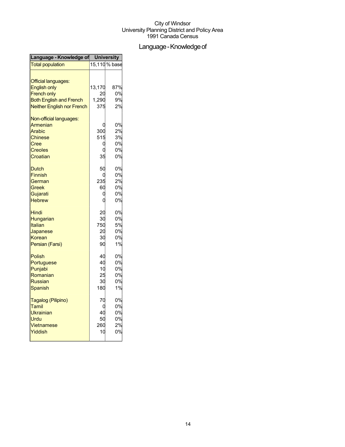## Language - Knowledge of

| Language - Knowledge of University                |        |               |
|---------------------------------------------------|--------|---------------|
| <b>Total population</b>                           |        | 15,110 % base |
| <b>Official languages:</b><br><b>English only</b> | 13,170 | 87%           |
| <b>French only</b>                                | 20     | 0%            |
|                                                   | 1,290  | 9%            |
| <b>Both English and French</b>                    |        |               |
| <b>Neither English nor French</b>                 | 375    | 2%            |
| Non-official languages:                           |        |               |
| Armenian                                          |        | 0%            |
| Arabic                                            | 300    | 2%            |
| <b>Chinese</b>                                    | 515    | 3%            |
| Cree                                              | Ω      | 0%            |
| <b>Creoles</b>                                    |        | 0%            |
| Croatian                                          | 35     | 0%            |
| <b>Dutch</b>                                      | 50     | 0%            |
| <b>Finnish</b>                                    |        | 0%            |
| German                                            | 235    | 2%            |
| Greek                                             | 60     | 0%            |
| Gujarati                                          | C      | 0%            |
| <b>Hebrew</b>                                     | C      | 0%            |
|                                                   |        |               |
| Hindi                                             | 20     | 0%            |
| Hungarian                                         | 30     | 0%            |
| Italian                                           | 750    | 5%            |
| Japanese                                          | 20     | 0%            |
| Korean                                            | 30     | 0%            |
| Persian (Farsi)                                   | 90     | 1%            |
|                                                   |        |               |
| <b>Polish</b>                                     | 40     | 0%            |
| Portuguese                                        | 40     | 0%            |
| Punjabi                                           | 10     | 0%            |
| Romanian                                          | 25     | 0%            |
| <b>Russian</b>                                    | 30     | 0%            |
| <b>Spanish</b>                                    | 180    | 1%            |
| Tagalog (Pilipino)                                | 70     | 0%            |
| Tamil                                             | C      | 0%            |
| Ukrainian                                         | 40     | 0%            |
| Urdu                                              | 50     | 0%            |
| Vietnamese                                        | 260    | 2%            |
| Yiddish                                           | 10     | 0%            |
|                                                   |        |               |
|                                                   |        |               |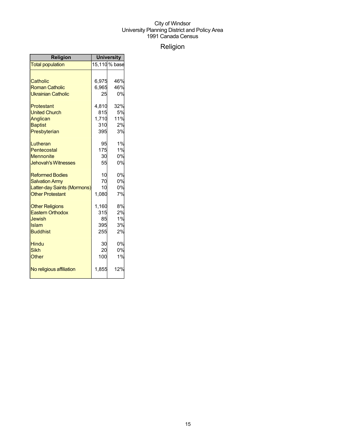## Religion

| <b>Religion</b>             | <b>University</b> |               |
|-----------------------------|-------------------|---------------|
| <b>Total population</b>     |                   | 15,110 % base |
|                             |                   |               |
| Catholic                    | 6,975             | 46%           |
| <b>Roman Catholic</b>       | 6,965             | 46%           |
| <b>Ukrainian Catholic</b>   | 25                | 0%            |
| Protestant                  | 4.810             | 32%           |
| <b>United Church</b>        | 815               | 5%            |
| Anglican                    | 1,710             | 11%           |
| <b>Baptist</b>              | 310               | 2%            |
| Presbyterian                | 395               | 3%            |
| Lutheran                    | 95                | 1%            |
| Pentecostal                 | 175               | 1%            |
| <b>Mennonite</b>            | 30                | 0%            |
| <b>Jehovah's Witnesses</b>  | 55                | 0%            |
| <b>Reformed Bodies</b>      | 10                | 0%            |
| <b>Salvation Army</b>       | 70                | 0%            |
| Latter-day Saints (Mormons) | 10                | 0%            |
| <b>Other Protestant</b>     | 1,080             | 7%            |
| <b>Other Religions</b>      | 1,160             | 8%            |
| <b>Eastern Orthodox</b>     | 315               | 2%            |
| Jewish                      | 85                | 1%            |
| Islam                       | 395               | 3%            |
| <b>Buddhist</b>             | 255               | 2%            |
| <b>Hindu</b>                | 30                | 0%            |
| <b>Sikh</b>                 | 20                | 0%            |
| Other                       | 100               | 1%            |
| No religious affiliation    | 1,855             | 12%           |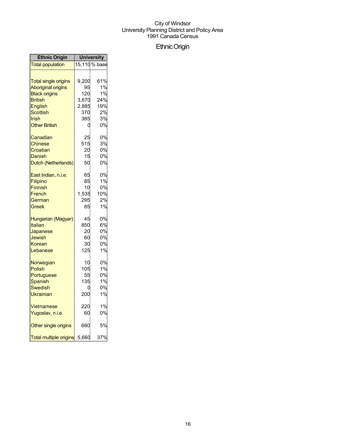## EthnicOrigin

| <b>Ethnic Origin</b>                                                 | <b>University</b>             |                                  |
|----------------------------------------------------------------------|-------------------------------|----------------------------------|
| <b>Total population</b>                                              |                               | 15,110 % base                    |
| <b>Total single origins</b>                                          | 9,200                         | 61%                              |
| <b>Aboriginal origins</b>                                            | 95                            | 1%                               |
| <b>Black origins</b>                                                 | 120                           | 1%                               |
| <b>British</b>                                                       | 3,670                         | 24%                              |
| English                                                              | 2,885                         | 19%                              |
| Scottish                                                             | 370                           | 2%                               |
| Irish                                                                | 385                           | 3%                               |
| <b>Other British</b>                                                 | 0                             | 0%                               |
| Canadian                                                             | 25                            | 0%                               |
| Chinese                                                              | 515                           | 3%                               |
| Croatian                                                             | 20                            | 0%                               |
| <b>Danish</b>                                                        | 15                            | 0%                               |
| Dutch (Netherlands)                                                  | 50                            | 0%                               |
| East Indian, n.i.e.                                                  | 65                            | 0%                               |
| Filipino                                                             | 85                            | 1%                               |
| <b>Finnish</b>                                                       | 10                            | 0%                               |
| French                                                               | 1,535                         | 10%                              |
| German                                                               | 295                           | 2%                               |
| Greek                                                                | 85                            | 1%                               |
| Hungarian (Magyar)                                                   | 45                            | 0%                               |
| Italian                                                              | 850                           | 6%                               |
| Japanese                                                             | 20                            | 0%                               |
| Jewish                                                               | 60                            | 0%                               |
| Korean                                                               | 30                            | 0%                               |
| Lebanese                                                             | 125                           | 1%                               |
| Norwegian<br>Polish<br>Portuguese<br>Spanish<br>Swedish<br>Ukrainian | 10<br>105<br>55<br>135<br>200 | 0%<br>1%<br>0%<br>1%<br>0%<br>1% |
| Vietnamese                                                           | 220                           | 1%                               |
| Yugoslav, n.i.e.                                                     | 60                            | 0%                               |
| Other single origins                                                 | 680                           | 5%                               |
| <b>Total multiple origins</b>                                        | 5,660                         | 37%                              |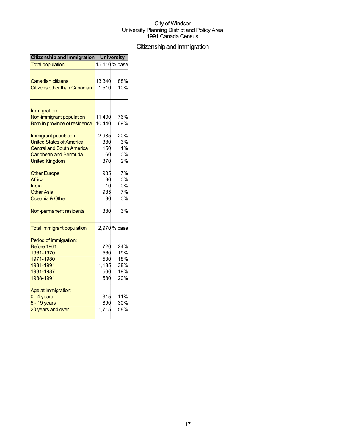## Citizenship and Immigration

| Citizenship and Immigration              | <b>University</b> |               |
|------------------------------------------|-------------------|---------------|
| <b>Total population</b>                  |                   | 15,110 % base |
| <b>Canadian citizens</b>                 | 13,340            | 88%           |
|                                          |                   |               |
| <b>Citizens other than Canadian</b>      | 1,510             | 10%           |
|                                          |                   |               |
| Immigration:<br>Non-immigrant population | 11,490            | 76%           |
|                                          |                   |               |
| Born in province of residence            | 10,440            | 69%           |
| Immigrant population                     | 2,985             | 20%           |
| <b>United States of America</b>          | 380               | 3%            |
| <b>Central and South America</b>         | 150               | 1%            |
| Caribbean and Bermuda                    | 60                | 0%            |
| <b>United Kingdom</b>                    | 370               | 2%            |
| <b>Other Europe</b>                      | 985               | 7%            |
| Africa                                   | 30                | 0%            |
| India                                    | 10                | 0%            |
| <b>Other Asia</b>                        | 985               | 7%            |
| Oceania & Other                          | 30                | 0%            |
| Non-permanent residents                  | 380               | 3%            |
| <b>Total immigrant population</b>        |                   | 2,970 % base  |
| Period of immigration:                   |                   |               |
| Before 1961                              | 720               | 24%           |
| 1961-1970                                | 560               | 19%           |
| 1971-1980                                | 530               | 18%           |
| 1981-1991                                | 1,135             | 38%           |
| 1981-1987                                | 560               | 19%           |
| 1988-1991                                | 580               | 20%           |
| Age at immigration:                      |                   |               |
| $0 - 4$ years                            | 315               | 11%           |
| $5 - 19$ years                           | 890               | 30%           |
| 20 years and over                        | 1,715             | 58%           |
|                                          |                   |               |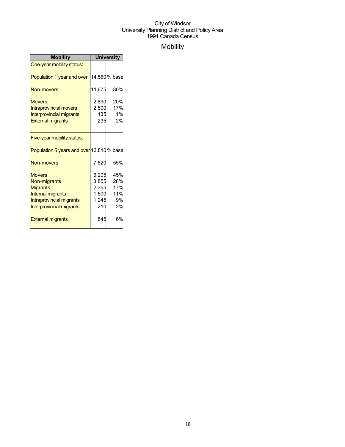## Mobility

| <b>Mobility</b>                           | <b>University</b> |               |  |
|-------------------------------------------|-------------------|---------------|--|
| One-year mobility status:                 |                   |               |  |
| Population 1 year and over                |                   | 14,560 % base |  |
| <b>Non-movers</b>                         | 11,675            | 80%           |  |
| <b>Movers</b>                             | 2,890             | 20%           |  |
| <b>Intraprovincial movers</b>             | 2,500             | 17%           |  |
| <b>Interprovincial migrants</b>           | 135               | 1%            |  |
| <b>External migrants</b>                  | 235               | 2%            |  |
|                                           |                   |               |  |
| Five-year mobility status:                |                   |               |  |
| Population 5 years and over 13,810 % base |                   |               |  |
| <b>Non-movers</b>                         | 7,620             | 55%           |  |
| <b>Movers</b>                             | 6,205             | 45%           |  |
| Non-migrants                              | 3,855             | 28%           |  |
| <b>Migrants</b>                           | 2,355             | 17%           |  |
| Internal migrants                         | 1,500             | 11%           |  |
| Intraprovincial migrants                  | 1,245             | 9%            |  |
| Interprovincial migrants                  | 210               | 2%            |  |
| <b>External migrants</b>                  | 845               | 6%            |  |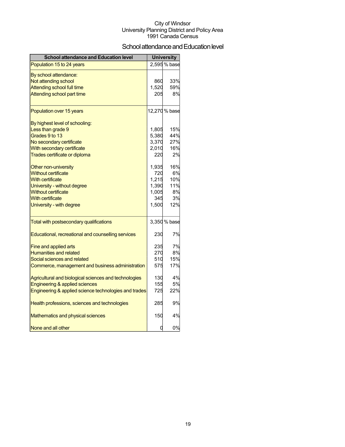## School attendance and Education level

| <b>School attendance and Education level</b>          |       | <b>University</b> |
|-------------------------------------------------------|-------|-------------------|
| Population 15 to 24 years                             |       | 2,595 % base      |
| By school attendance:                                 |       |                   |
| Not attending school                                  | 860   | 33%               |
| <b>Attending school full time</b>                     | 1,520 | 59%               |
| Attending school part time                            | 205   | 8%                |
| Population over 15 years                              |       | 12,270 % base     |
| By highest level of schooling:                        |       |                   |
| Less than grade 9                                     | 1,805 | 15%               |
| Grades 9 to 13                                        | 5,380 | 44%               |
| No secondary certificate                              | 3,370 | 27%               |
| With secondary certificate                            | 2,010 | 16%               |
| Trades certificate or diploma                         | 220   | 2%                |
| Other non-university                                  | 1,935 | 16%               |
| <b>Without certificate</b>                            | 720   | 6%                |
| <b>With certificate</b>                               | 1,215 | 10%               |
| University - without degree                           | 1,390 | 11%               |
| <b>Without certificate</b>                            | 1,005 | 8%                |
| <b>With certificate</b>                               | 345   | 3%                |
| University - with degree                              | 1,500 | 12%               |
| Total with postsecondary qualifications               |       | 3,350 % base      |
| Educational, recreational and counselling services    | 230   | 7%                |
| Fine and applied arts                                 | 235   | 7%                |
| <b>Humanities and related</b>                         | 270   | 8%                |
| Social sciences and related                           | 510   | 15%               |
| Commerce, management and business administration      | 575   | 17%               |
| Agricultural and biological sciences and technologies | 130   | 4%                |
| Engineering & applied sciences                        | 155   | 5%                |
| Engineering & applied science technologies and trades | 725   | 22%               |
| Health professions, sciences and technologies         | 285   | 9%                |
| Mathematics and physical sciences                     | 150   | 4%                |
| None and all other                                    | 0     | 0%                |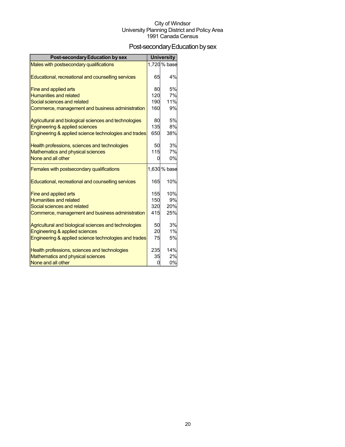## Post-secondary Education by sex

| <b>Post-secondary Education by sex</b>                |            | <b>University</b> |
|-------------------------------------------------------|------------|-------------------|
| Males with postsecondary qualifications               |            | 1,720 % base      |
| Educational, recreational and counselling services    | 65         | 4%                |
| Fine and applied arts                                 | 80         | 5%                |
| <b>Humanities and related</b>                         | 120        | 7%                |
| Social sciences and related                           | 190        | 11%               |
| Commerce, management and business administration      | 160        | 9%                |
| Agricultural and biological sciences and technologies | 80         | 5%                |
| Engineering & applied sciences                        | <b>135</b> | 8%                |
| Engineering & applied science technologies and trades | 650        | 38%               |
| Health professions, sciences and technologies         | 50         | 3%                |
| Mathematics and physical sciences                     | 115        | 7%                |
| None and all other                                    | U          | 0%                |
| Females with postsecondary qualifications             |            | 1,630 % base      |
| Educational, recreational and counselling services    | 165        | 10%               |
| Fine and applied arts                                 | 155        | 10%               |
| <b>Humanities and related</b>                         | 150        | 9%                |
| Social sciences and related                           | 320        | 20%               |
| Commerce, management and business administration      | 415        | 25%               |
| Agricultural and biological sciences and technologies | 50         | 3%                |
| Engineering & applied sciences                        | 20         | 1%                |
| Engineering & applied science technologies and trades | 75         | 5%                |
| Health professions, sciences and technologies         | 235        | 14%               |
| Mathematics and physical sciences                     | 35         | 2%                |
| None and all other                                    | U          | 0%                |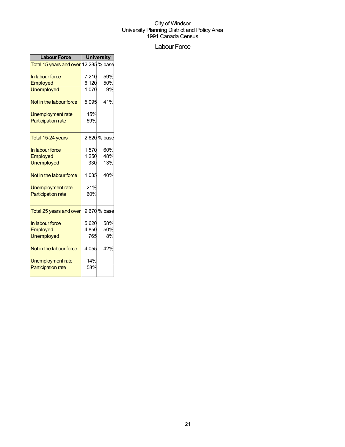## Labour Force

| <b>Labour Force</b>                   | <b>University</b> |              |  |
|---------------------------------------|-------------------|--------------|--|
| Total 15 years and over 12,285 % base |                   |              |  |
| In labour force                       | 7,210             | 59%          |  |
| <b>Employed</b>                       | 6,120             | 50%          |  |
| <b>Unemployed</b>                     | 1,070             | 9%           |  |
| Not in the labour force               | 5,095             | 41%          |  |
| <b>Unemployment rate</b>              | 15%               |              |  |
| <b>Participation rate</b>             | 59%               |              |  |
| Total 15-24 years                     |                   | 2,620 % base |  |
| In labour force                       | 1,570             | 60%          |  |
| Employed                              | 1,250             | 48%          |  |
| <b>Unemployed</b>                     | 330               | 13%          |  |
| Not in the labour force               | 1,035             | 40%          |  |
| <b>Unemployment rate</b>              | 21%               |              |  |
| <b>Participation rate</b>             | 60%               |              |  |
| Total 25 years and over               |                   | 9,670 % base |  |
| In labour force                       | 5,620             | 58%          |  |
| Employed                              | 4,850             | 50%          |  |
| <b>Unemployed</b>                     | 765               | 8%           |  |
| Not in the labour force               | 4,055             | 42%          |  |
| Unemployment rate                     | 14%               |              |  |
| <b>Participation rate</b>             | 58%               |              |  |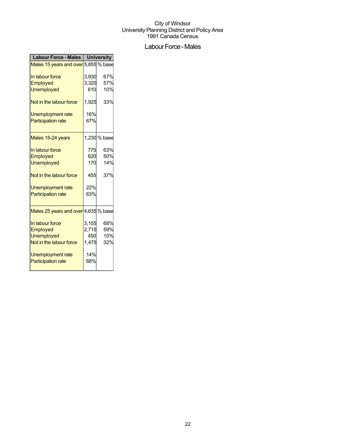## Labour Force - Males

| <b>Labour Force - Males</b>          | <b>University</b> |              |
|--------------------------------------|-------------------|--------------|
| Males 15 years and over 5,855 % base |                   |              |
| In labour force                      | 3,930             | 67%          |
| <b>Employed</b>                      | 3,320             | 57%          |
| <b>Unemployed</b>                    | 610               | 10%          |
| Not in the labour force              | 1,925             | 33%          |
| Unemployment rate                    | 16%               |              |
| <b>Participation rate</b>            | 67%               |              |
| Males 15-24 years                    |                   | 1,230 % base |
| In labour force                      | 775               | 63%          |
| Employed                             | 620               | 50%          |
| <b>Unemployed</b>                    | 170               | 14%          |
| Not in the labour force              | 455               | 37%          |
| Unemployment rate                    | 22%               |              |
| <b>Participation rate</b>            | 63%               |              |
| Males 25 years and over 4,635 % base |                   |              |
| In labour force                      | 3,155             | 68%          |
| Employed                             | 2,715             | 59%          |
| <b>Unemployed</b>                    | 450               | 10%          |
| Not in the labour force              | 1,475             | 32%          |
| Unemployment rate                    | 14%               |              |
| <b>Participation rate</b>            | 68%               |              |
|                                      |                   |              |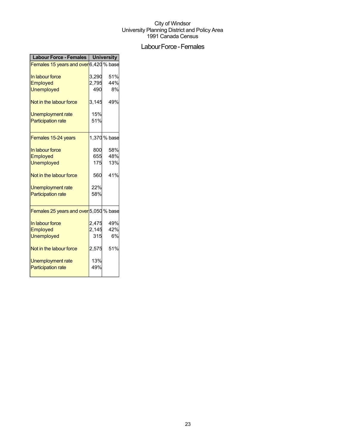## Labour Force - Females

| <b>Labour Force - Females</b>          | <b>University</b> |              |
|----------------------------------------|-------------------|--------------|
| Females 15 years and over 6,420 % base |                   |              |
| In labour force                        | 3,290             | 51%          |
| Employed                               | 2,795             | 44%          |
| <b>Unemployed</b>                      | 490               | 8%           |
| Not in the labour force                | 3,145             | 49%          |
| Unemployment rate                      | 15%               |              |
| <b>Participation rate</b>              | 51%               |              |
| Females 15-24 years                    |                   | 1,370 % base |
| In labour force                        | 800               | 58%          |
| Employed                               | 655               | 48%          |
| <b>Unemployed</b>                      | 175               | 13%          |
| Not in the labour force                | 560               | 41%          |
| <b>Unemployment rate</b>               | 22%               |              |
| <b>Participation rate</b>              | 58%               |              |
| Females 25 years and over 5,050 % base |                   |              |
| In labour force                        | 2,475             | 49%          |
| Employed                               | 2,145             | 42%          |
| <b>Unemployed</b>                      | 315               | 6%           |
| Not in the labour force                | 2,575             | 51%          |
| Unemployment rate                      | 13%               |              |
| <b>Participation rate</b>              | 49%               |              |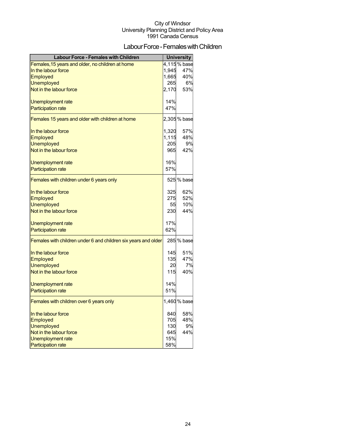## Labour Force - Females with Children

| <b>Labour Force - Females with Children</b>                    |       | <b>University</b> |
|----------------------------------------------------------------|-------|-------------------|
| Females, 15 years and older, no children at home               |       | 4,115% base       |
| In the labour force                                            | 1,945 | 47%               |
| Employed                                                       | 1,665 | 40%               |
| <b>Unemployed</b>                                              | 265   | 6%                |
| Not in the labour force                                        | 2,170 | 53%               |
| Unemployment rate                                              | 14%   |                   |
| <b>Participation rate</b>                                      | 47%   |                   |
| Females 15 years and older with children at home               |       | 2,305% base       |
| In the labour force                                            | 1,320 | 57%               |
| Employed                                                       | 1,115 | 48%               |
| <b>Unemployed</b>                                              | 205   | 9%                |
| Not in the labour force                                        | 965   | 42%               |
| Unemployment rate                                              | 16%   |                   |
| <b>Participation rate</b>                                      | 57%   |                   |
| Females with children under 6 years only                       |       | 525 % base        |
| In the labour force                                            | 325   | 62%               |
| Employed                                                       | 275   | 52%               |
| <b>Unemployed</b>                                              | 55    | 10%               |
| Not in the labour force                                        | 230   | 44%               |
| Unemployment rate                                              | 17%   |                   |
| <b>Participation rate</b>                                      | 62%   |                   |
| Females with children under 6 and children six years and older |       | 285 % base        |
| In the labour force                                            | 145   | 51%               |
| Employed                                                       | 135   | 47%               |
| <b>Unemployed</b>                                              | 20    | 7%                |
| Not in the labour force                                        | 115   | 40%               |
| Unemployment rate                                              | 14%   |                   |
| <b>Participation rate</b>                                      | 51%   |                   |
| Females with children over 6 years only                        |       | 1,460 % base      |
| In the labour force                                            | 840   | 58%               |
| Employed                                                       | 705   | 48%               |
| <b>Unemployed</b>                                              | 130   | 9%                |
| Not in the labour force                                        | 645   | 44%               |
| <b>Unemployment rate</b>                                       | 15%   |                   |
| <b>Participation rate</b>                                      | 58%   |                   |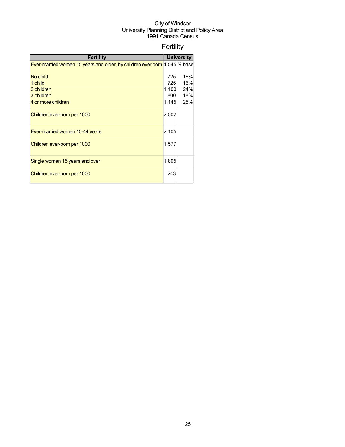## Fertility

| <b>Fertility</b>                                                          |       | <b>University</b> |  |
|---------------------------------------------------------------------------|-------|-------------------|--|
| Ever-married women 15 years and older, by children ever born 4,545 % base |       |                   |  |
|                                                                           |       |                   |  |
| No child                                                                  | 725   | 16%               |  |
| 1 child                                                                   | 725   | 16%               |  |
| 2 children                                                                | 1,100 | 24%               |  |
| 3 children                                                                | 800   | 18%               |  |
| 4 or more children                                                        | 1,145 | 25%               |  |
| Children ever-born per 1000                                               | 2,502 |                   |  |
| Ever-married women 15-44 years                                            | 2,105 |                   |  |
| Children ever-born per 1000                                               | 1,577 |                   |  |
| Single women 15 years and over                                            | 1,895 |                   |  |
| Children ever-born per 1000                                               | 243   |                   |  |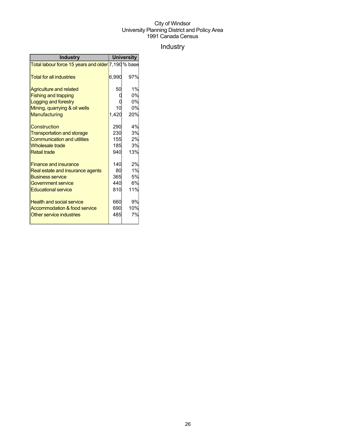## Industry

| <b>Industry</b>                                    | <b>University</b> |     |
|----------------------------------------------------|-------------------|-----|
| Total labour force 15 years and older 7,190 % base |                   |     |
| <b>Total for all industries</b>                    | 6,990             | 97% |
| <b>Agriculture and related</b>                     | 50                | 1%  |
| <b>Fishing and trapping</b>                        |                   | 0%  |
| Logging and forestry                               |                   | 0%  |
| Mining, quarrying & oil wells                      | 10                | 0%  |
| Manufacturing                                      | 1,420             | 20% |
| Construction                                       | 290               | 4%  |
| <b>Transportation and storage</b>                  | 230               | 3%  |
| <b>Communication and utilities</b>                 | 155               | 2%  |
| <b>Wholesale trade</b>                             | 185               | 3%  |
| <b>Retail trade</b>                                | 940               | 13% |
| <b>Finance and insurance</b>                       | 140               | 2%  |
| Real estate and insurance agents                   | 80                | 1%  |
| <b>Business service</b>                            | 365               | 5%  |
| Government service                                 | 440               | 6%  |
| <b>Educational service</b>                         | 810               | 11% |
| <b>Health and social service</b>                   | 660               | 9%  |
| Accommodation & food service                       | 690               | 10% |
| Other service industries                           | 485               | 7%  |
|                                                    |                   |     |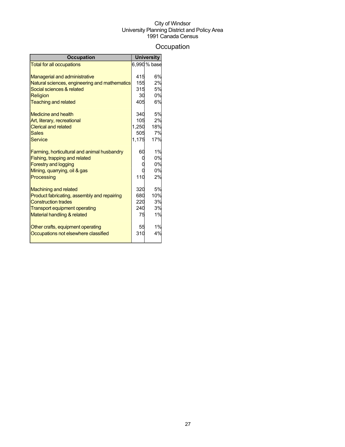## **Occupation**

| <b>Occupation</b>                             |       | <b>University</b> |
|-----------------------------------------------|-------|-------------------|
| <b>Total for all occupations</b>              |       | 6,990 % base      |
|                                               |       |                   |
| <b>Managerial and administrative</b>          | 415   | 6%                |
| Natural sciences, engineering and mathematics | 155   | 2%                |
| Social sciences & related                     | 315   | 5%                |
| <b>Religion</b>                               | 30    | 0%                |
| <b>Teaching and related</b>                   | 405   | 6%                |
| <b>Medicine and health</b>                    | 340   | 5%                |
| Art, literary, recreational                   | 105   | 2%                |
| <b>Clerical and related</b>                   | 1,250 | 18%               |
| <b>Sales</b>                                  | 505   | 7%                |
| <b>Service</b>                                | 1,175 | <b>17%</b>        |
| Farming, horticultural and animal husbandry   | 60    | 1%                |
| Fishing, trapping and related                 |       | 0%                |
| <b>Forestry and logging</b>                   |       | 0%                |
| Mining, quarrying, oil & gas                  |       | 0%                |
| Processing                                    | 110   | 2%                |
| <b>Machining and related</b>                  | 320   | 5%                |
| Product fabricating, assembly and repairing   | 680   | 10%               |
| <b>Construction trades</b>                    | 220   | 3%                |
| <b>Transport equipment operating</b>          | 240   | 3%                |
| Material handling & related                   | 75    | 1%                |
| Other crafts, equipment operating             | 55    | 1%                |
| Occupations not elsewhere classified          | 310   | 4%                |
|                                               |       |                   |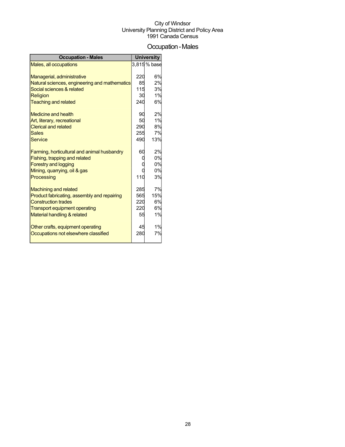## Occupation-Males

| <b>Occupation - Males</b>                     |     | <b>University</b> |
|-----------------------------------------------|-----|-------------------|
| Males, all occupations                        |     | 3,815% base       |
|                                               |     |                   |
| Managerial, administrative                    | 220 | 6%                |
| Natural sciences, engineering and mathematics | 85  | 2%                |
| Social sciences & related                     | 115 | 3%                |
| Religion                                      | 30  | 1%                |
| <b>Teaching and related</b>                   | 240 | 6%                |
| <b>Medicine and health</b>                    | 90  | 2%                |
| Art, literary, recreational                   | 50  | 1%                |
| <b>Clerical and related</b>                   | 290 | 8%                |
| <b>Sales</b>                                  | 255 | 7%                |
| <b>Service</b>                                | 490 | 13%               |
| Farming, horticultural and animal husbandry   | 60  | 2%                |
| Fishing, trapping and related                 |     | 0%                |
| <b>Forestry and logging</b>                   |     | 0%                |
| Mining, quarrying, oil & gas                  |     | 0%                |
| Processing                                    | 110 | 3%                |
| <b>Machining and related</b>                  | 285 | 7%                |
| Product fabricating, assembly and repairing   | 565 | 15%               |
| <b>Construction trades</b>                    | 220 | 6%                |
| <b>Transport equipment operating</b>          | 220 | 6%                |
| Material handling & related                   | 55  | 1%                |
| Other crafts, equipment operating             | 45  | 1%                |
| Occupations not elsewhere classified          | 280 | 7%                |
|                                               |     |                   |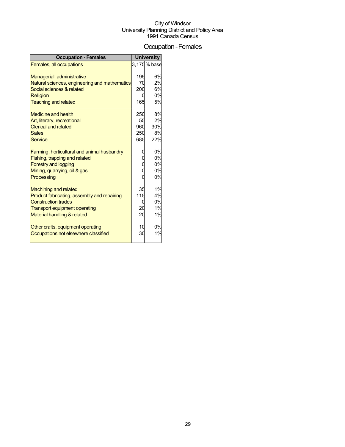### Occupation-Females

| <b>Occupation - Females</b>                   |     | <b>University</b> |
|-----------------------------------------------|-----|-------------------|
| Females, all occupations                      |     | 3,175 % base      |
|                                               |     |                   |
| Managerial, administrative                    | 195 | 6%                |
| Natural sciences, engineering and mathematics | 70  | 2%                |
| Social sciences & related                     | 200 | 6%                |
| <b>Religion</b>                               |     | 0%                |
| <b>Teaching and related</b>                   | 165 | 5%                |
| <b>Medicine and health</b>                    | 250 | 8%                |
| Art, literary, recreational                   | 55  | 2%                |
| <b>Clerical and related</b>                   | 960 | 30%               |
| <b>Sales</b>                                  | 250 | 8%                |
| <b>Service</b>                                | 685 | 22%               |
| Farming, horticultural and animal husbandry   |     | 0%                |
| Fishing, trapping and related                 |     | 0%                |
| <b>Forestry and logging</b>                   |     | 0%                |
| Mining, quarrying, oil & gas                  |     | 0%                |
| Processing                                    |     | 0%                |
| <b>Machining and related</b>                  | 35  | 1%                |
| Product fabricating, assembly and repairing   | 115 | 4%                |
| <b>Construction trades</b>                    |     | 0%                |
| <b>Transport equipment operating</b>          | 20  | 1%                |
| Material handling & related                   | 20  | 1%                |
| Other crafts, equipment operating             | 10  | 0%                |
| Occupations not elsewhere classified          | ЗC  | 1%                |
|                                               |     |                   |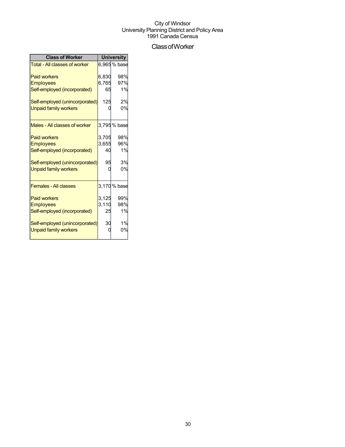## ClassofWorker

| <b>Class of Worker</b>               | <b>University</b> |              |  |
|--------------------------------------|-------------------|--------------|--|
| <b>Total - All classes of worker</b> |                   | 6,965 % base |  |
| <b>Paid workers</b>                  | 6,830             | 98%          |  |
| <b>Employees</b>                     | 6,765             | 97%          |  |
| Self-employed (incorporated)         | 65                | 1%           |  |
| Self-employed (unincorporated)       | 125               | 2%           |  |
| <b>Unpaid family workers</b>         |                   | 0%           |  |
| Males - All classes of worker        |                   | 3,795 % base |  |
| <b>Paid workers</b>                  | 3,705             | 98%          |  |
| <b>Employees</b>                     | 3,655             | 96%          |  |
| Self-employed (incorporated)         | 40                | 1%           |  |
| Self-employed (unincorporated)       | 95                | 3%           |  |
| <b>Unpaid family workers</b>         |                   | 0%           |  |
| <b>Females - All classes</b>         |                   | 3,170 % base |  |
| <b>Paid workers</b>                  | 3,125             | 99%          |  |
| <b>Employees</b>                     | 3,110             | 98%          |  |
| Self-employed (incorporated)         | 25                | 1%           |  |
| Self-employed (unincorporated)       | 30                | 1%           |  |
| <b>Unpaid family workers</b>         |                   | 0%           |  |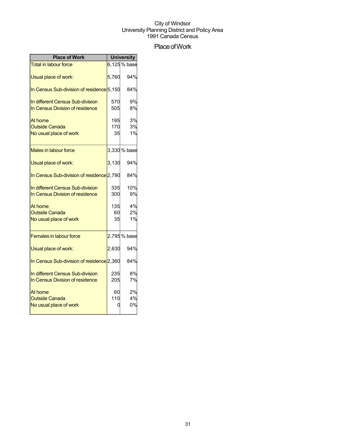## Place of Work

| <b>Place of Work</b>                                                |                  | <b>University</b> |
|---------------------------------------------------------------------|------------------|-------------------|
| <b>Total in labour force</b>                                        |                  | 6,125% base       |
| Usual place of work:                                                | 5,760            | 94%               |
| In Census Sub-division of residence 5,150                           |                  | 84%               |
| In different Census Sub-division<br>In Census Division of residence | 570<br>505       | 9%<br>8%          |
| At home<br><b>Outside Canada</b><br>No usual place of work          | 195<br>170<br>35 | 3%<br>3%<br>1%    |
| <b>Males in labour force</b>                                        |                  | 3,330 % base      |
| Usual place of work:                                                | 3.130            | 94%               |
| In Census Sub-division of residence 2,790                           |                  | 84%               |
| In different Census Sub-division<br>In Census Division of residence | 335<br>300       | 10%<br>9%         |
| At home<br><b>Outside Canada</b><br>No usual place of work          | 135<br>60<br>35  | 4%<br>2%<br>1%    |
| <b>Females in labour force</b>                                      |                  | 2,795% base       |
| Usual place of work:                                                | 2,630            | 94%               |
| In Census Sub-division of residence <sup>[2,360]</sup>              |                  | 84%               |
| In different Census Sub-division<br>In Census Division of residence | 235<br>205       | 8%<br>7%          |
| At home<br><b>Outside Canada</b><br>No usual place of work          | 60<br>110        | 2%<br>4%<br>0%    |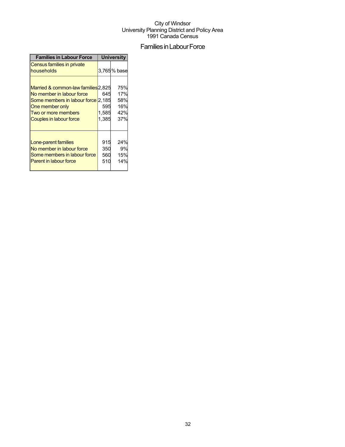## Families in Labour Force

| <b>Families in Labour Force</b>                                                                                                                                             | <b>University</b>            |                                        |  |
|-----------------------------------------------------------------------------------------------------------------------------------------------------------------------------|------------------------------|----------------------------------------|--|
| Census families in private<br>households                                                                                                                                    |                              | 3,765% base                            |  |
| Married & common-law families 2,825<br>No member in labour force<br>Some members in labour force 2,185<br>One member only<br>Two or more members<br>Couples in labour force | 645<br>595<br>1,585<br>1,385 | 75%<br>17%<br>58%<br>16%<br>42%<br>37% |  |
| Lone-parent families<br>No member in labour force<br>Some members in labour force<br><b>Parent in labour force</b>                                                          | 915<br>350<br>560<br>510     | 24%<br>9%<br>15%<br>14%                |  |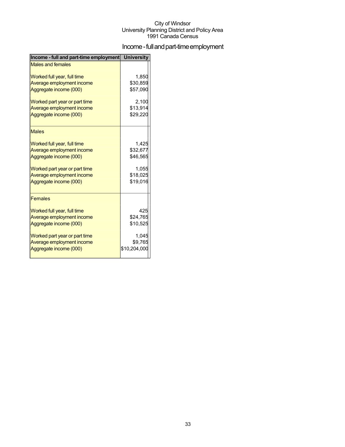## Income - full and part-time employment

| Income - full and part-time employment University |              |
|---------------------------------------------------|--------------|
| <b>Males and females</b>                          |              |
| Worked full year, full time                       | 1,850        |
| Average employment income                         | \$30,859     |
| Aggregate income (000)                            | \$57,090     |
| Worked part year or part time                     | 2,100        |
| Average employment income                         | \$13,914     |
| Aggregate income (000)                            | \$29,220     |
| <b>Males</b>                                      |              |
| Worked full year, full time                       | 1,425        |
| Average employment income                         | \$32,677     |
| Aggregate income (000)                            | \$46,565     |
| Worked part year or part time                     | 1,055        |
| Average employment income                         | \$18,025     |
| Aggregate income (000)                            | \$19,016     |
| <b>Females</b>                                    |              |
| Worked full year, full time                       | 425          |
| Average employment income                         | \$24,765     |
| Aggregate income (000)                            | \$10,525     |
| Worked part year or part time                     | 1,045        |
| Average employment income                         | \$9,765      |
| Aggregate income (000)                            | \$10,204,000 |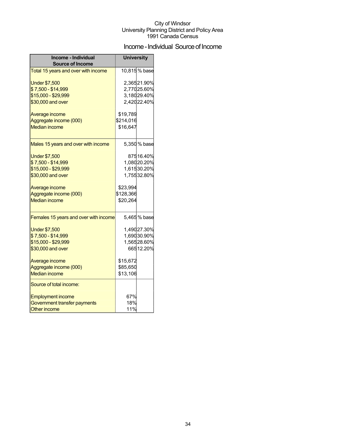## Income - Individual Source of Income

| Income - Individual<br><b>Source of Income</b> | <b>University</b> |                            |  |
|------------------------------------------------|-------------------|----------------------------|--|
| Total 15 years and over with income            |                   | 10,815% base               |  |
| <b>Under \$7,500</b><br>\$7,500 - \$14,999     |                   | 2,36521.90%<br>2,77025.60% |  |
| \$15,000 - \$29,999                            |                   | 3,18029.40%                |  |
| \$30,000 and over                              |                   | 2,42022.40%                |  |
| Average income                                 | \$19,789          |                            |  |
| Aggregate income (000)                         | \$214,016         |                            |  |
| <b>Median income</b>                           | \$16,647          |                            |  |
| Males 15 years and over with income            |                   | 5,350 % base               |  |
| <b>Under \$7,500</b>                           |                   | 87516.40%                  |  |
| \$7,500 - \$14,999                             |                   | 1,08020.20%                |  |
| \$15,000 - \$29,999                            |                   | 1,61530.20%                |  |
| \$30,000 and over                              |                   | 1,75532.80%                |  |
| Average income                                 | \$23,994          |                            |  |
| Aggregate income (000)                         | \$128,366         |                            |  |
| <b>Median income</b>                           | \$20,264          |                            |  |
| Females 15 years and over with income          |                   | 5,465% base                |  |
| <b>Under \$7,500</b>                           |                   | 1,49027.30%                |  |
| \$7,500 - \$14,999                             |                   | 1,69030.90%                |  |
| \$15,000 - \$29,999                            |                   | 1,56528.60%                |  |
| \$30,000 and over                              |                   | 66512.20%                  |  |
| Average income                                 | \$15,672          |                            |  |
| Aggregate income (000)                         | \$85,650          |                            |  |
| <b>Median income</b>                           | \$13,106          |                            |  |
| Source of total income:                        |                   |                            |  |
| <b>Employment income</b>                       | 67%               |                            |  |
| Government transfer payments                   | 18%               |                            |  |
| <b>Other income</b>                            | 11%               |                            |  |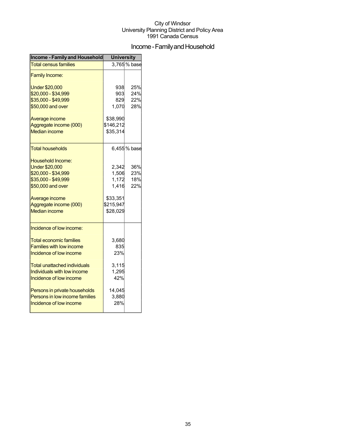## Income - Family and Household

| <b>Income - Family and Household</b> | <b>University</b> |             |  |
|--------------------------------------|-------------------|-------------|--|
| <b>Total census families</b>         |                   | 3,765% base |  |
| <b>Family Income:</b>                |                   |             |  |
| <b>Under \$20,000</b>                | 938               | 25%         |  |
| \$20,000 - \$34,999                  | 903               | 24%         |  |
| \$35,000 - \$49,999                  | 829               | 22%         |  |
| \$50,000 and over                    | 1,070             | 28%         |  |
| Average income                       | \$38,990          |             |  |
| Aggregate income (000)               | \$146,212         |             |  |
| <b>Median income</b>                 | \$35,314          |             |  |
| <b>Total households</b>              |                   | 6,455% base |  |
| Household Income:                    |                   |             |  |
| <b>Under \$20,000</b>                | 2,342             | 36%         |  |
| \$20,000 - \$34,999                  | 1,506             | 23%         |  |
| \$35,000 - \$49,999                  | 1,172             | 18%         |  |
| \$50,000 and over                    | 1,416             | 22%         |  |
| Average income                       | \$33,351          |             |  |
| Aggregate income (000)               | \$215,947         |             |  |
| <b>Median income</b>                 | \$28,029          |             |  |
| Incidence of low income:             |                   |             |  |
| <b>Total economic families</b>       | 3,680             |             |  |
| <b>Families with low income</b>      | 835               |             |  |
| Incidence of low income              | 23%               |             |  |
| Total unattached individuals         | 3,115             |             |  |
| Individuals with low income          | 1,295             |             |  |
| Incidence of low income              | 42%               |             |  |
| Persons in private households        | 14,045            |             |  |
| Persons in low income families       | 3,880             |             |  |
| Incidence of low income              | 28%               |             |  |